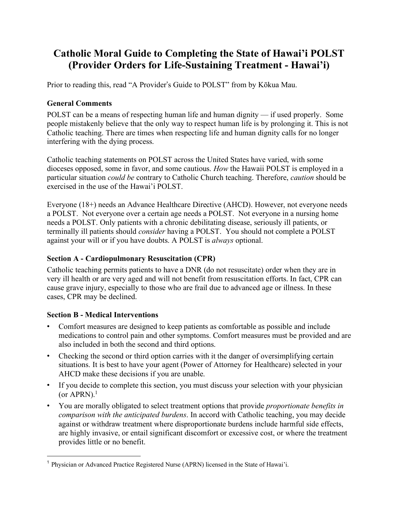# **Catholic Moral Guide to Completing the State of Hawai'i POLST (Provider Orders for Life-Sustaining Treatment - Hawai'i)**

Prior to reading this, read "A Provider's Guide to POLST" from by Kōkua Mau.

# **General Comments**

POLST can be a means of respecting human life and human dignity — if used properly. Some people mistakenly believe that the only way to respect human life is by prolonging it. This is not Catholic teaching. There are times when respecting life and human dignity calls for no longer interfering with the dying process.

Catholic teaching statements on POLST across the United States have varied, with some dioceses opposed, some in favor, and some cautious. *How* the Hawaii POLST is employed in a particular situation *could be* contrary to Catholic Church teaching. Therefore, *caution* should be exercised in the use of the Hawai'i POLST.

Everyone (18+) needs an Advance Healthcare Directive (AHCD). However, not everyone needs a POLST. Not everyone over a certain age needs a POLST. Not everyone in a nursing home needs a POLST. Only patients with a chronic debilitating disease, seriously ill patients, or terminally ill patients should *consider* having a POLST. You should not complete a POLST against your will or if you have doubts. A POLST is *always* optional.

### **Section A - Cardiopulmonary Resuscitation (CPR)**

Catholic teaching permits patients to have a DNR (do not resuscitate) order when they are in very ill health or are very aged and will not benefit from resuscitation efforts. In fact, CPR can cause grave injury, especially to those who are frail due to advanced age or illness. In these cases, CPR may be declined.

# **Section B - Medical Interventions**

1

- Comfort measures are designed to keep patients as comfortable as possible and include medications to control pain and other symptoms. Comfort measures must be provided and are also included in both the second and third options.
- Checking the second or third option carries with it the danger of oversimplifying certain situations. It is best to have your agent (Power of Attorney for Healthcare) selected in your AHCD make these decisions if you are unable.
- If you decide to complete this section, you must discuss your selection with your physician (or APRN). $<sup>1</sup>$ </sup>
- You are morally obligated to select treatment options that provide *proportionate benefits in comparison with the anticipated burdens*. In accord with Catholic teaching, you may decide against or withdraw treatment where disproportionate burdens include harmful side effects, are highly invasive, or entail significant discomfort or excessive cost, or where the treatment provides little or no benefit.

<sup>&</sup>lt;sup>1</sup> Physician or Advanced Practice Registered Nurse (APRN) licensed in the State of Hawai'i.